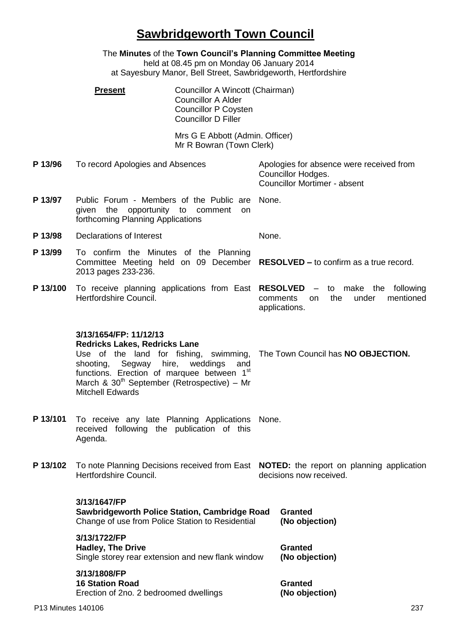## **Sawbridgeworth Town Council**

|          | The Minutes of the Town Council's Planning Committee Meeting<br>held at 08.45 pm on Monday 06 January 2014<br>at Sayesbury Manor, Bell Street, Sawbridgeworth, Hertfordshire                                                                                                                                                                                                                                                    |                                                             |                                                                                          |                                                                                                                    |  |
|----------|---------------------------------------------------------------------------------------------------------------------------------------------------------------------------------------------------------------------------------------------------------------------------------------------------------------------------------------------------------------------------------------------------------------------------------|-------------------------------------------------------------|------------------------------------------------------------------------------------------|--------------------------------------------------------------------------------------------------------------------|--|
|          | Councillor A Wincott (Chairman)<br><b>Present</b><br><b>Councillor A Alder</b><br><b>Councillor P Coysten</b><br><b>Councillor D Filler</b>                                                                                                                                                                                                                                                                                     |                                                             |                                                                                          |                                                                                                                    |  |
|          |                                                                                                                                                                                                                                                                                                                                                                                                                                 | Mrs G E Abbott (Admin. Officer)<br>Mr R Bowran (Town Clerk) |                                                                                          |                                                                                                                    |  |
| P 13/96  | To record Apologies and Absences                                                                                                                                                                                                                                                                                                                                                                                                |                                                             |                                                                                          | Apologies for absence were received from<br>Councillor Hodges.<br><b>Councillor Mortimer - absent</b>              |  |
| P 13/97  | Public Forum - Members of the Public are None.<br>given the opportunity to comment<br>on<br>forthcoming Planning Applications                                                                                                                                                                                                                                                                                                   |                                                             |                                                                                          |                                                                                                                    |  |
| P 13/98  | Declarations of Interest                                                                                                                                                                                                                                                                                                                                                                                                        |                                                             | None.                                                                                    |                                                                                                                    |  |
| P 13/99  | To confirm the Minutes of the Planning<br>Committee Meeting held on 09 December RESOLVED - to confirm as a true record.<br>2013 pages 233-236.                                                                                                                                                                                                                                                                                  |                                                             |                                                                                          |                                                                                                                    |  |
| P 13/100 | To receive planning applications from East RESOLVED<br>Hertfordshire Council.<br>3/13/1654/FP: 11/12/13<br><b>Redricks Lakes, Redricks Lane</b><br>Use of the land for fishing, swimming, The Town Council has NO OBJECTION.<br>shooting,<br>hire,<br>weddings<br>Segway<br>and<br>functions. Erection of marquee between 1 <sup>st</sup><br>March & 30 <sup>th</sup> September (Retrospective) - Mr<br><b>Mitchell Edwards</b> |                                                             | - to make the following<br>the<br>under<br>mentioned<br>comments<br>on.<br>applications. |                                                                                                                    |  |
|          |                                                                                                                                                                                                                                                                                                                                                                                                                                 |                                                             |                                                                                          |                                                                                                                    |  |
| P 13/101 | To receive any late Planning Applications<br>None.<br>received following the publication of this<br>Agenda.                                                                                                                                                                                                                                                                                                                     |                                                             |                                                                                          |                                                                                                                    |  |
| P 13/102 | Hertfordshire Council.                                                                                                                                                                                                                                                                                                                                                                                                          |                                                             |                                                                                          | To note Planning Decisions received from East NOTED: the report on planning application<br>decisions now received. |  |
|          | 3/13/1647/FP<br>Sawbridgeworth Police Station, Cambridge Road<br>Change of use from Police Station to Residential                                                                                                                                                                                                                                                                                                               |                                                             |                                                                                          | Granted<br>(No objection)                                                                                          |  |
|          | 3/13/1722/FP<br><b>Hadley, The Drive</b><br>Single storey rear extension and new flank window<br>3/13/1808/FP<br><b>16 Station Road</b><br>Erection of 2no. 2 bedroomed dwellings                                                                                                                                                                                                                                               |                                                             |                                                                                          | <b>Granted</b><br>(No objection)                                                                                   |  |
|          |                                                                                                                                                                                                                                                                                                                                                                                                                                 |                                                             |                                                                                          | <b>Granted</b><br>(No objection)                                                                                   |  |